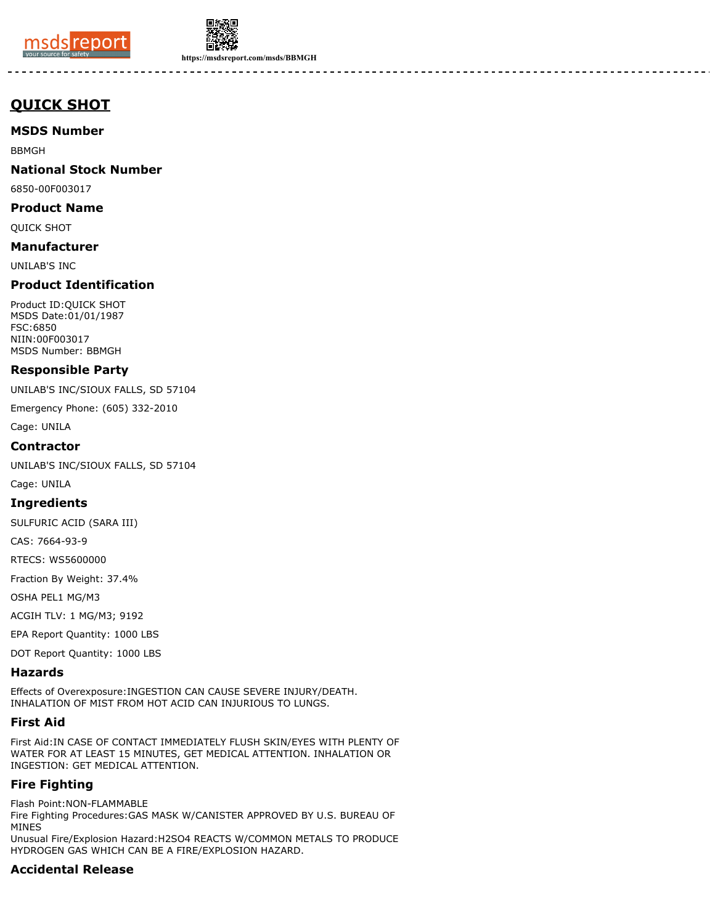



**https://msdsreport.com/msds/BBMGH**

# **QUICK SHOT**

# **MSDS Number**

BBMGH

# **National Stock Number**

6850-00F003017

## **Product Name**

QUICK SHOT

## **Manufacturer**

UNILAB'S INC

# **Product Identification**

Product ID:QUICK SHOT MSDS Date:01/01/1987 FSC:6850 NIIN:00F003017 MSDS Number: BBMGH

# **Responsible Party**

UNILAB'S INC/SIOUX FALLS, SD 57104

Emergency Phone: (605) 332-2010

Cage: UNILA

## **Contractor**

UNILAB'S INC/SIOUX FALLS, SD 57104

Cage: UNILA

#### **Ingredients**

SULFURIC ACID (SARA III)

CAS: 7664-93-9

RTECS: WS5600000

Fraction By Weight: 37.4%

OSHA PEL1 MG/M3

ACGIH TLV: 1 MG/M3; 9192

EPA Report Quantity: 1000 LBS

DOT Report Quantity: 1000 LBS

#### **Hazards**

Effects of Overexposure:INGESTION CAN CAUSE SEVERE INJURY/DEATH. INHALATION OF MIST FROM HOT ACID CAN INJURIOUS TO LUNGS.

## **First Aid**

First Aid:IN CASE OF CONTACT IMMEDIATELY FLUSH SKIN/EYES WITH PLENTY OF WATER FOR AT LEAST 15 MINUTES, GET MEDICAL ATTENTION. INHALATION OR INGESTION: GET MEDICAL ATTENTION.

# **Fire Fighting**

Flash Point:NON-FLAMMABLE Fire Fighting Procedures:GAS MASK W/CANISTER APPROVED BY U.S. BUREAU OF MINES

Unusual Fire/Explosion Hazard:H2SO4 REACTS W/COMMON METALS TO PRODUCE HYDROGEN GAS WHICH CAN BE A FIRE/EXPLOSION HAZARD.

# **Accidental Release**